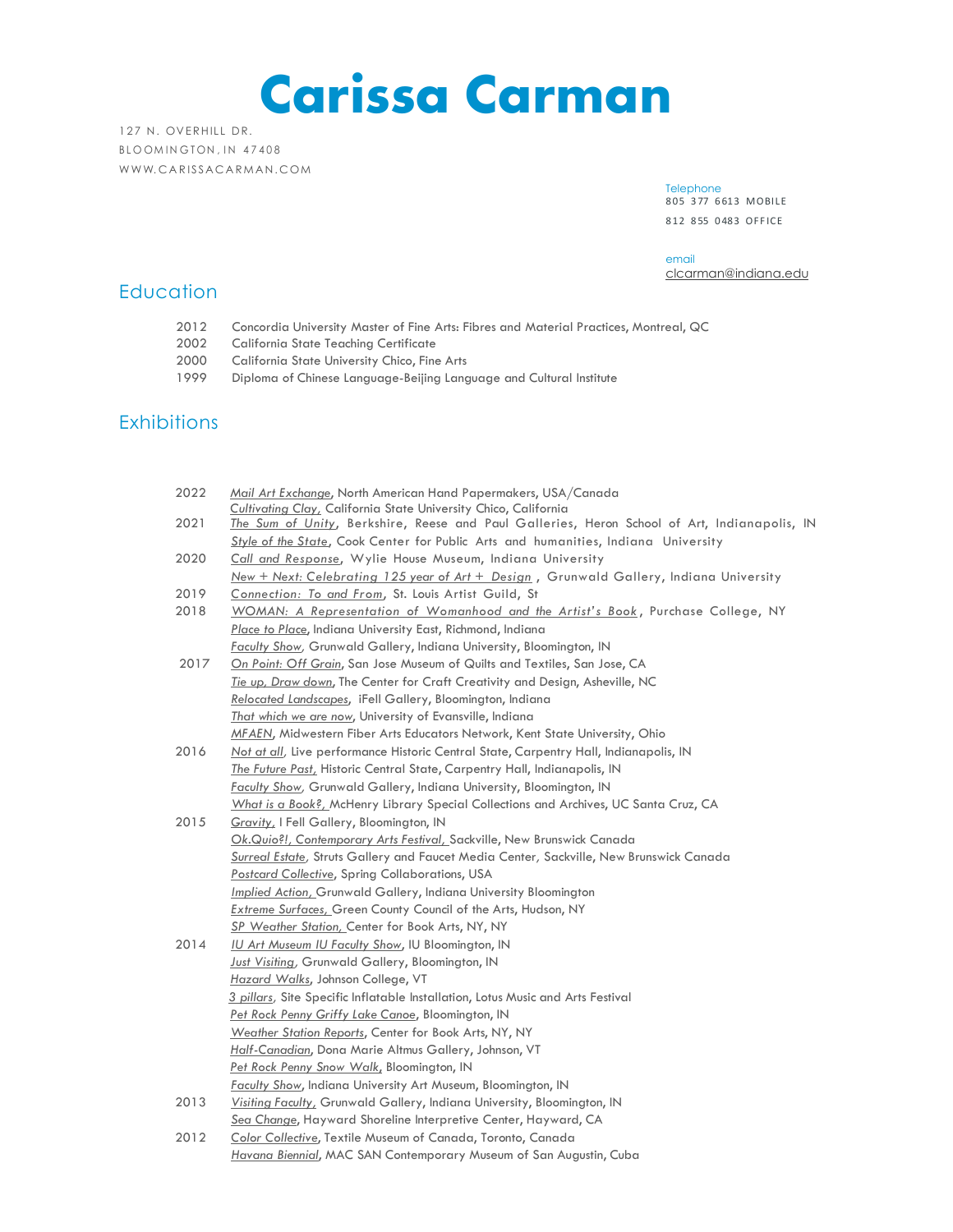**Carissa Carman**

127 N. OVERHILL DR. BLOOMINGTON, IN 47408 WWW. CARISSACARMAN. COM

> Telephone 805 377 6613 MOBILE 812 8 55 0 483 OFF ICE

email [clcarman@indiana.edu](mailto:clcarman@indiana.edu)

# **Education**

- 2012 Concordia University Master of Fine Arts: Fibres and Material Practices, Montreal, QC
- 2002 California State Teaching Certificate
- 2000 California State University Chico, Fine Arts
- 1999 Diploma of Chinese Language-Beijing Language and Cultural Institute

# **Exhibitions**

| 2022 | Mail Art Exchange, North American Hand Papermakers, USA/Canada                                                                                                                     |
|------|------------------------------------------------------------------------------------------------------------------------------------------------------------------------------------|
|      | Cultivating Clay, California State University Chico, California                                                                                                                    |
| 2021 | The Sum of Unity, Berkshire, Reese and Paul Galleries, Heron School of Art, Indianapolis, IN<br>Style of the State, Cook Center for Public Arts and humanities, Indiana University |
| 2020 | Call and Response, Wylie House Museum, Indiana University                                                                                                                          |
|      | New + Next: Celebrating 125 year of Art + Design, Grunwald Gallery, Indiana University                                                                                             |
| 2019 | Connection: To and From, St. Louis Artist Guild, St                                                                                                                                |
| 2018 | WOMAN: A Representation of Womanhood and the Artist's Book, Purchase College, NY                                                                                                   |
|      | Place to Place, Indiana University East, Richmond, Indiana                                                                                                                         |
|      | Faculty Show, Grunwald Gallery, Indiana University, Bloomington, IN                                                                                                                |
| 2017 | <u>On Point: Off Grain</u> , San Jose Museum of Quilts and Textiles, San Jose, CA                                                                                                  |
|      | Tie up, Draw down, The Center for Craft Creativity and Design, Asheville, NC                                                                                                       |
|      | Relocated Landscapes, iFell Gallery, Bloomington, Indiana                                                                                                                          |
|      | <u>That which we are now</u> , University of Evansville, Indiana                                                                                                                   |
|      | MFAEN, Midwestern Fiber Arts Educators Network, Kent State University, Ohio                                                                                                        |
| 2016 | Not at all, Live performance Historic Central State, Carpentry Hall, Indianapolis, IN                                                                                              |
|      | The Future Past, Historic Central State, Carpentry Hall, Indianapolis, IN                                                                                                          |
|      | Faculty Show, Grunwald Gallery, Indiana University, Bloomington, IN                                                                                                                |
|      | What is a Book?, McHenry Library Special Collections and Archives, UC Santa Cruz, CA                                                                                               |
| 2015 | Gravity, I Fell Gallery, Bloomington, IN                                                                                                                                           |
|      | Ok.Quio?!, Contemporary Arts Festival, Sackville, New Brunswick Canada                                                                                                             |
|      | Surreal Estate, Struts Gallery and Faucet Media Center, Sackville, New Brunswick Canada                                                                                            |
|      | <b>Postcard Collective, Spring Collaborations, USA</b>                                                                                                                             |
|      | Implied Action, Grunwald Gallery, Indiana University Bloomington                                                                                                                   |
|      | <b>Extreme Surfaces, Green County Council of the Arts, Hudson, NY</b>                                                                                                              |
|      | SP Weather Station, Center for Book Arts, NY, NY                                                                                                                                   |
| 2014 | IU Art Museum IU Faculty Show, IU Bloomington, IN                                                                                                                                  |
|      | <b>Just Visiting, Grunwald Gallery, Bloomington, IN</b>                                                                                                                            |
|      | Hazard Walks, Johnson College, VT                                                                                                                                                  |
|      | 3 pillars, Site Specific Inflatable Installation, Lotus Music and Arts Festival                                                                                                    |
|      | Pet Rock Penny Griffy Lake Canoe, Bloomington, IN                                                                                                                                  |
|      | Weather Station Reports, Center for Book Arts, NY, NY                                                                                                                              |
|      | Half-Canadian, Dona Marie Altmus Gallery, Johnson, VT                                                                                                                              |
|      | Pet Rock Penny Snow Walk, Bloomington, IN                                                                                                                                          |
|      | <b>Faculty Show, Indiana University Art Museum, Bloomington, IN</b>                                                                                                                |
| 2013 | Visiting Faculty, Grunwald Gallery, Indiana University, Bloomington, IN                                                                                                            |
|      | Sea Change, Hayward Shoreline Interpretive Center, Hayward, CA                                                                                                                     |
| 2012 | Color Collective, Textile Museum of Canada, Toronto, Canada                                                                                                                        |
|      | Havana Biennial, MAC SAN Contemporary Museum of San Augustin, Cuba                                                                                                                 |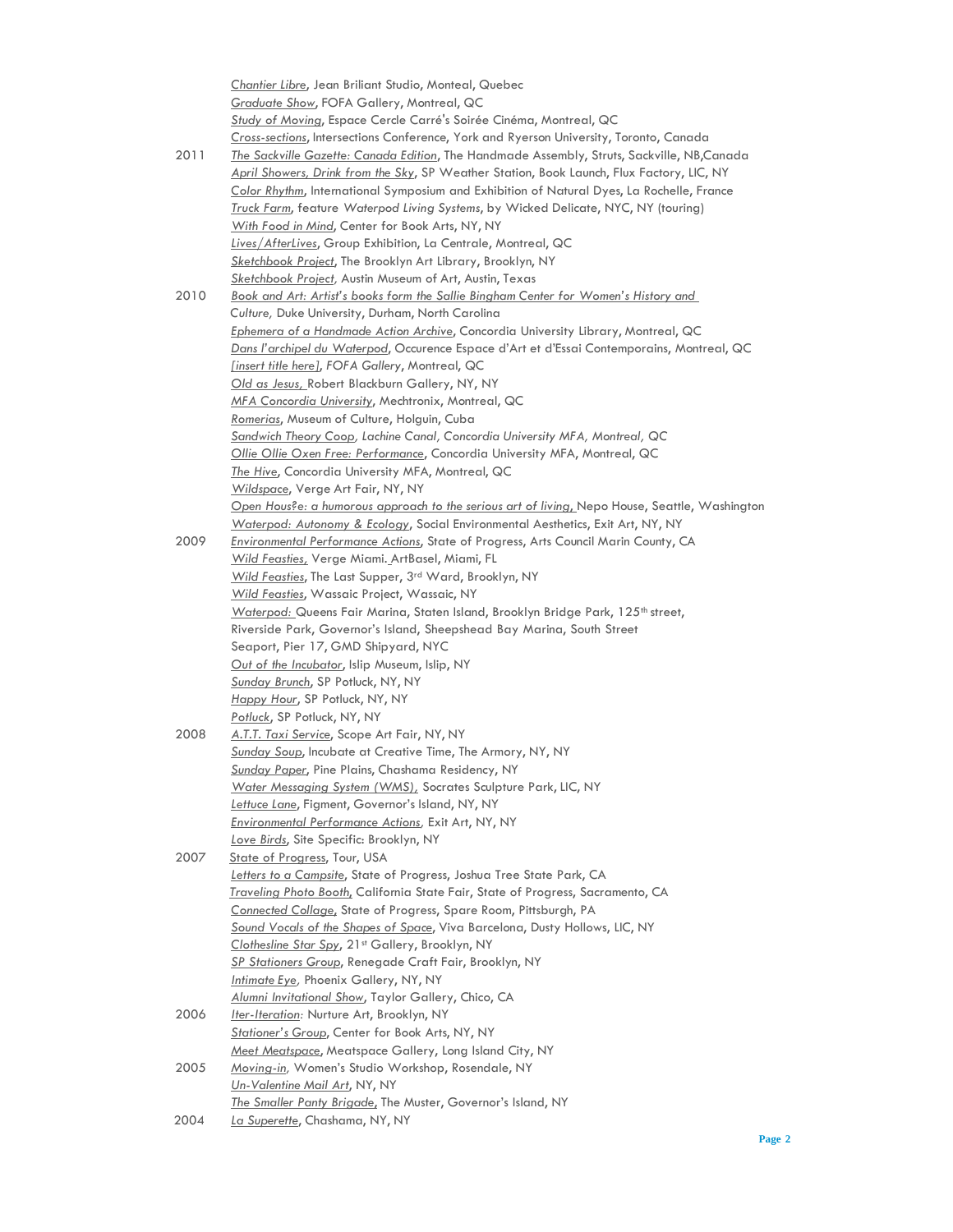|      | Chantier Libre, Jean Briliant Studio, Monteal, Quebec                                          |
|------|------------------------------------------------------------------------------------------------|
|      | <b>Graduate Show, FOFA Gallery, Montreal, QC</b>                                               |
|      | Study of Moving, Espace Cercle Carré's Soirée Cinéma, Montreal, QC                             |
|      | Cross-sections, Intersections Conference, York and Ryerson University, Toronto, Canada         |
| 2011 | The Sackville Gazette: Canada Edition, The Handmade Assembly, Struts, Sackville, NB, Canada    |
|      | April Showers, Drink from the Sky, SP Weather Station, Book Launch, Flux Factory, LIC, NY      |
|      | Color Rhythm, International Symposium and Exhibition of Natural Dyes, La Rochelle, France      |
|      | Truck Farm, feature Waterpod Living Systems, by Wicked Delicate, NYC, NY (touring)             |
|      | With Food in Mind, Center for Book Arts, NY, NY                                                |
|      | Lives/AfterLives, Group Exhibition, La Centrale, Montreal, QC                                  |
|      | Sketchbook Project, The Brooklyn Art Library, Brooklyn, NY                                     |
|      | Sketchbook Project, Austin Museum of Art, Austin, Texas                                        |
| 2010 | <u>Book and Art: Artist's books form the Sallie Bingham Center for Women's History and </u>    |
|      |                                                                                                |
|      | Culture, Duke University, Durham, North Carolina                                               |
|      | Ephemera of a Handmade Action Archive, Concordia University Library, Montreal, QC              |
|      | Dans l'archipel du Waterpod, Occurence Espace d'Art et d'Essai Contemporains, Montreal, QC     |
|      | <u>[insert title here]</u> , FOFA Gallery, Montreal, QC                                        |
|      | Old as Jesus, Robert Blackburn Gallery, NY, NY                                                 |
|      | MFA Concordia University, Mechtronix, Montreal, QC                                             |
|      | Romerias, Museum of Culture, Holguin, Cuba                                                     |
|      | Sandwich Theory Coop, Lachine Canal, Concordia University MFA, Montreal, QC                    |
|      | Ollie Ollie Oxen Free: Performance, Concordia University MFA, Montreal, QC                     |
|      | <u>The Hive</u> , Concordia University MFA, Montreal, QC                                       |
|      | <u>Wildspace</u> , Verge Art Fair, NY, NY                                                      |
|      | Open Hous?e: a humorous approach to the serious art of living, Nepo House, Seattle, Washington |
|      | Waterpod: Autonomy & Ecology, Social Environmental Aesthetics, Exit Art, NY, NY                |
| 2009 | <b>Environmental Performance Actions, State of Progress, Arts Council Marin County, CA</b>     |
|      | <u>Wild Feasties,</u> Verge Miami. ArtBasel, Miami, FL                                         |
|      | Wild Feasties, The Last Supper, 3rd Ward, Brooklyn, NY                                         |
|      | <u>Wild Feasties</u> , Wassaic Project, Wassaic, NY                                            |
|      | Waterpod: Queens Fair Marina, Staten Island, Brooklyn Bridge Park, 125 <sup>th</sup> street,   |
|      | Riverside Park, Governor's Island, Sheepshead Bay Marina, South Street                         |
|      | Seaport, Pier 17, GMD Shipyard, NYC                                                            |
|      | Out of the Incubator, Islip Museum, Islip, NY                                                  |
|      | <b>Sunday Brunch, SP Potluck, NY, NY</b>                                                       |
|      | Happy Hour, SP Potluck, NY, NY                                                                 |
|      | Potluck, SP Potluck, NY, NY                                                                    |
| 2008 | A.T.T. Taxi Service, Scope Art Fair, NY, NY                                                    |
|      | Sunday Soup, Incubate at Creative Time, The Armory, NY, NY                                     |
|      | Sunday Paper, Pine Plains, Chashama Residency, NY                                              |
|      | Water Messaging System (WMS), Socrates Sculpture Park, LIC, NY                                 |
|      | Lettuce Lane, Figment, Governor's Island, NY, NY                                               |
|      | Environmental Performance Actions, Exit Art, NY, NY                                            |
|      | Love Birds, Site Specific: Brooklyn, NY                                                        |
| 2007 | State of Progress, Tour, USA                                                                   |
|      | Letters to a Campsite, State of Progress, Joshua Tree State Park, CA                           |
|      | Traveling Photo Booth, California State Fair, State of Progress, Sacramento, CA                |
|      |                                                                                                |
|      | Connected Collage, State of Progress, Spare Room, Pittsburgh, PA                               |
|      | Sound Vocals of the Shapes of Space, Viva Barcelona, Dusty Hollows, LIC, NY                    |
|      | Clothesline Star Spy, 21st Gallery, Brooklyn, NY                                               |
|      | SP Stationers Group, Renegade Craft Fair, Brooklyn, NY                                         |
|      | Intimate Eye, Phoenix Gallery, NY, NY                                                          |
|      | Alumni Invitational Show, Taylor Gallery, Chico, CA                                            |
| 2006 | Iter-Iteration: Nurture Art, Brooklyn, NY                                                      |
|      | Stationer's Group, Center for Book Arts, NY, NY                                                |
|      | Meet Meatspace, Meatspace Gallery, Long Island City, NY                                        |
| 2005 | Moving-in, Women's Studio Workshop, Rosendale, NY                                              |
|      | <u>Un-Valentine Mail Art</u> , NY, NY                                                          |
|      | The Smaller Panty Brigade, The Muster, Governor's Island, NY                                   |
| 2004 | La Superette, Chashama, NY, NY                                                                 |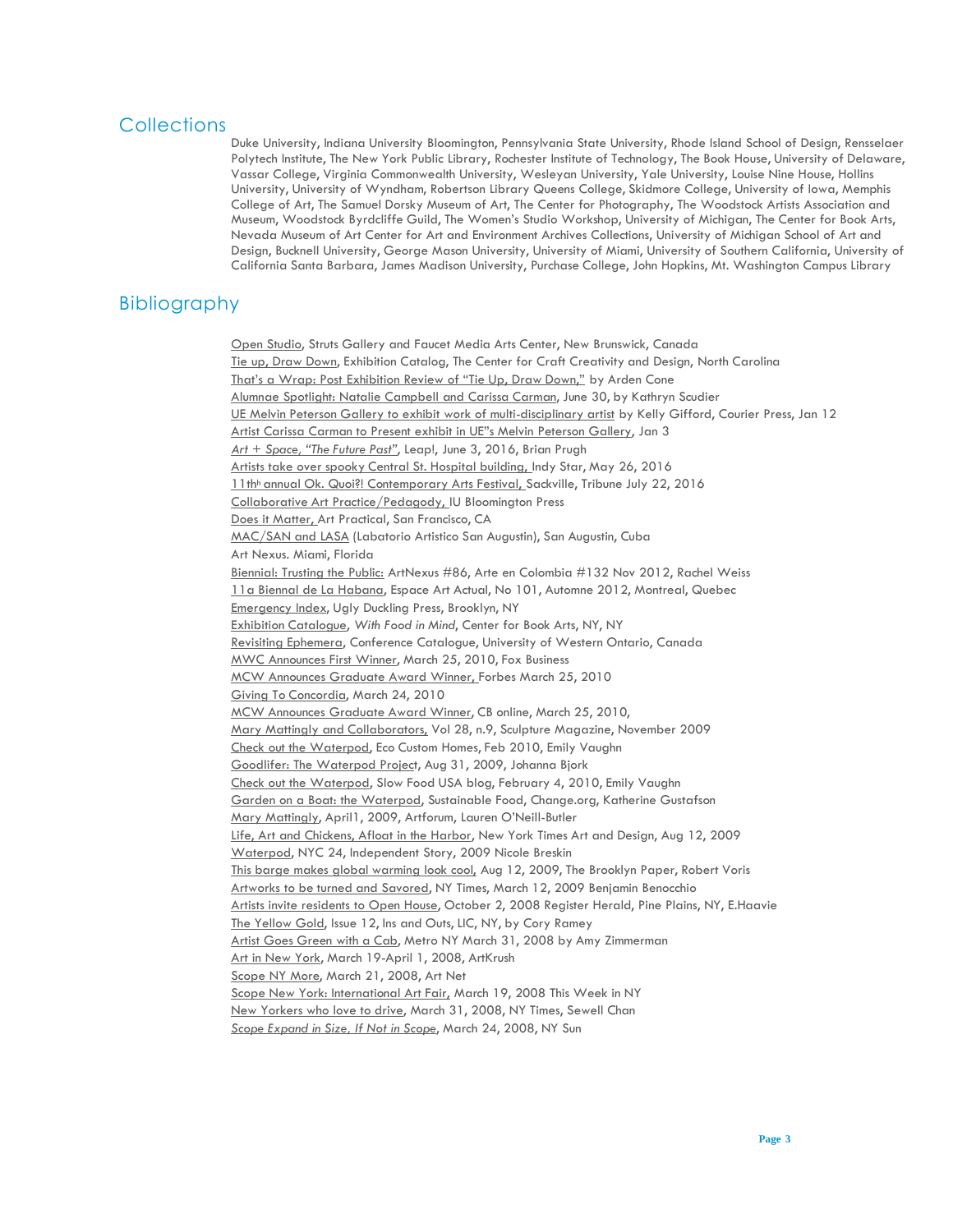#### **Collections**

Duke University, Indiana University Bloomington, Pennsylvania State University, Rhode Island School of Design, Rensselaer Polytech Institute, The New York Public Library, Rochester Institute of Technology, The Book House, University of Delaware, Vassar College, Virginia Commonwealth University, Wesleyan University, Yale University, Louise Nine House, Hollins University, University of Wyndham, Robertson Library Queens College, Skidmore College, University of Iowa, Memphis College of Art, The Samuel Dorsky Museum of Art, The Center for Photography, The Woodstock Artists Association and Museum, Woodstock Byrdcliffe Guild, The Women's Studio Workshop, University of Michigan, The Center for Book Arts, Nevada Museum of Art Center for Art and Environment Archives Collections, University of Michigan School of Art and Design, Bucknell University, George Mason University, University of Miami, University of Southern California, University of California Santa Barbara, James Madison University, Purchase College, John Hopkins, Mt. Washington Campus Library

### Bibliography

Open Studio, Struts Gallery and Faucet Media Arts Center, New Brunswick, Canada Tie up, Draw Down, Exhibition Catalog, The Center for Craft Creativity and Design, North Carolina That's a Wrap: Post Exhibition Review of "Tie Up, Draw Down," by Arden Cone Alumnae Spotlight: Natalie Campbell and Carissa Carman, June 30, by Kathryn Scudier UE Melvin Peterson Gallery to exhibit work of multi-disciplinary artist by Kelly Gifford, Courier Press, Jan 12 Artist Carissa Carman to Present exhibit in UE"s Melvin Peterson Gallery, Jan 3 *Art + Space, "The Future Past"*, Leap!, June 3, 2016, Brian Prugh Artists take over spooky Central St. Hospital building, Indy Star, May 26, 2016 11th<sup>h</sup> annual Ok. Quoi?! Contemporary Arts Festival, Sackville, Tribune July 22, 2016 Collaborative Art Practice/Pedagody, IU Bloomington Press Does it Matter, Art Practical, San Francisco, CA MAC/SAN and LASA (Labatorio Artistico San Augustin), San Augustin, Cuba Art Nexus. Miami, Florida Biennial: Trusting the Public: ArtNexus #86, Arte en Colombia #132 Nov 2012, Rachel Weiss 11a Biennal de La Habana, Espace Art Actual, No 101, Automne 2012, Montreal, Quebec Emergency Index, Ugly Duckling Press, Brooklyn, NY Exhibition Catalogue, *With Food in Mind*, Center for Book Arts, NY, NY Revisiting Ephemera, Conference Catalogue, University of Western Ontario, Canada MWC Announces First Winner, March 25, 2010, Fox Business MCW Announces Graduate Award Winner, Forbes March 25, 2010 Giving To Concordia, March 24, 2010 MCW Announces Graduate Award Winner, CB online, March 25, 2010, Mary Mattingly and Collaborators, Vol 28, n.9, Sculpture Magazine, November 2009 Check out the Waterpod, Eco Custom Homes, Feb 2010, Emily Vaughn Goodlifer: The Waterpod Project, Aug 31, 2009, Johanna Bjork Check out the Waterpod, Slow Food USA blog, February 4, 2010, Emily Vaughn Garden on a Boat: the Waterpod, Sustainable Food, Change.org, Katherine Gustafson Mary Mattingly, April1, 2009, Artforum, Lauren O'Neill-Butler Life, Art and Chickens, Afloat in the Harbor, New York Times Art and Design, Aug 12, 2009 Waterpod, NYC 24, Independent Story, 2009 Nicole Breskin This barge makes global warming look cool, Aug 12, 2009, The Brooklyn Paper, Robert Voris Artworks to be turned and Savored, NY Times, March 12, 2009 Benjamin Benocchio Artists invite residents to Open House, October 2, 2008 Register Herald, Pine Plains, NY, E.Haavie The Yellow Gold, Issue 12, Ins and Outs, LIC, NY, by Cory Ramey Artist Goes Green with a Cab, Metro NY March 31, 2008 by Amy Zimmerman Art in New York, March 19-April 1, 2008, ArtKrush Scope NY More, March 21, 2008, Art Net Scope New York: International Art Fair, March 19, 2008 This Week in NY New Yorkers who love to drive, March 31, 2008, NY Times, Sewell Chan *Scope Expand in Size, If Not in Scope*, March 24, 2008, NY Sun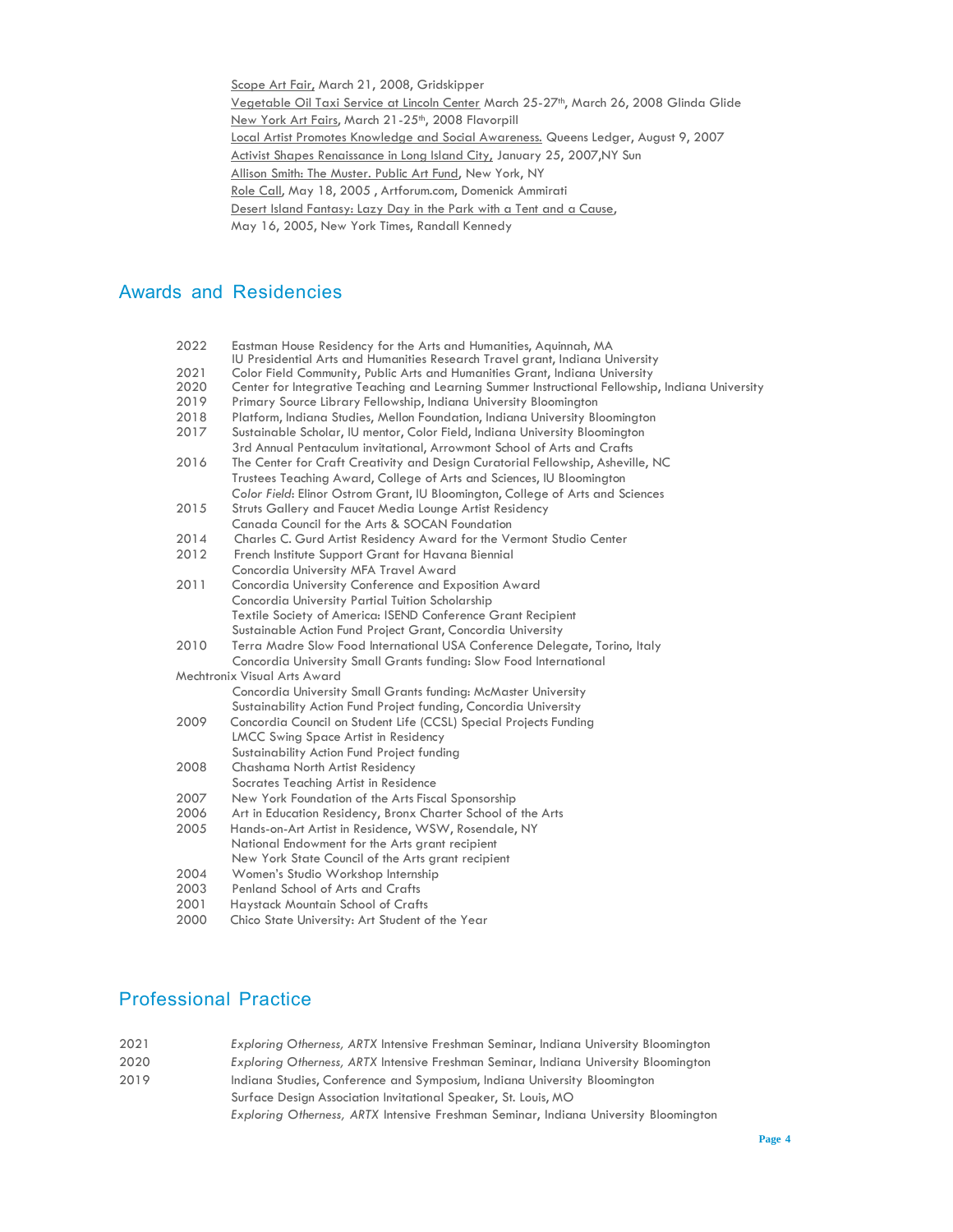Scope Art Fair, March 21, 2008, Gridskipper Vegetable Oil Taxi Service at Lincoln Center March 25-27<sup>th</sup>, March 26, 2008 Glinda Glide New York Art Fairs, March 21-25<sup>th</sup>, 2008 Flavorpill Local Artist Promotes Knowledge and Social Awareness. Queens Ledger, August 9, 2007 Activist Shapes Renaissance in Long Island City, January 25, 2007, NY Sun Allison Smith: The Muster. Public Art Fund, New York, NY Role Call, May 18, 2005 , Artforum.com, Domenick Ammirati Desert Island Fantasy: Lazy Day in the Park with a Tent and a Cause, May 16, 2005, New York Times, Randall Kennedy

### Awards and Residencies

| 2022 | Eastman House Residency for the Arts and Humanities, Aquinnah, MA                                |
|------|--------------------------------------------------------------------------------------------------|
|      | IU Presidential Arts and Humanities Research Travel grant, Indiana University                    |
| 2021 | Color Field Community, Public Arts and Humanities Grant, Indiana University                      |
| 2020 | Center for Integrative Teaching and Learning Summer Instructional Fellowship, Indiana University |
| 2019 | Primary Source Library Fellowship, Indiana University Bloomington                                |
| 2018 | Platform, Indiana Studies, Mellon Foundation, Indiana University Bloomington                     |
| 2017 | Sustainable Scholar, IU mentor, Color Field, Indiana University Bloomington                      |
|      | 3rd Annual Pentaculum invitational, Arrowmont School of Arts and Crafts                          |
| 2016 | The Center for Craft Creativity and Design Curatorial Fellowship, Asheville, NC                  |
|      | Trustees Teaching Award, College of Arts and Sciences, IU Bloomington                            |
|      | Color Field: Elinor Ostrom Grant, IU Bloomington, College of Arts and Sciences                   |
| 2015 | Struts Gallery and Faucet Media Lounge Artist Residency                                          |
|      | Canada Council for the Arts & SOCAN Foundation                                                   |
| 2014 | Charles C. Gurd Artist Residency Award for the Vermont Studio Center                             |
| 2012 | French Institute Support Grant for Havana Biennial                                               |
|      | Concordia University MFA Travel Award                                                            |
| 2011 | Concordia University Conference and Exposition Award                                             |
|      | Concordia University Partial Tuition Scholarship                                                 |
|      | Textile Society of America: ISEND Conference Grant Recipient                                     |
|      | Sustainable Action Fund Project Grant, Concordia University                                      |
| 2010 | Terra Madre Slow Food International USA Conference Delegate, Torino, Italy                       |
|      | Concordia University Small Grants funding: Slow Food International                               |
|      | Mechtronix Visual Arts Award                                                                     |
|      | Concordia University Small Grants funding: McMaster University                                   |
|      | Sustainability Action Fund Project funding, Concordia University                                 |
| 2009 | Concordia Council on Student Life (CCSL) Special Projects Funding                                |
|      | <b>LMCC Swing Space Artist in Residency</b>                                                      |
|      | Sustainability Action Fund Project funding                                                       |
| 2008 | Chashama North Artist Residency                                                                  |
|      | Socrates Teaching Artist in Residence                                                            |
| 2007 | New York Foundation of the Arts Fiscal Sponsorship                                               |
| 2006 | Art in Education Residency, Bronx Charter School of the Arts                                     |
| 2005 | Hands-on-Art Artist in Residence, WSW, Rosendale, NY                                             |
|      | National Endowment for the Arts grant recipient                                                  |
|      | New York State Council of the Arts grant recipient                                               |
| 2004 | Women's Studio Workshop Internship                                                               |
| 2003 | Penland School of Arts and Crafts                                                                |
| 2001 | Haystack Mountain School of Crafts                                                               |
| 2000 | Chico State University: Art Student of the Year                                                  |

# Professional Practice

| 2021 | Exploring Otherness, ARTX Intensive Freshman Seminar, Indiana University Bloomington |  |  |
|------|--------------------------------------------------------------------------------------|--|--|
| 2020 | Exploring Otherness, ARTX Intensive Freshman Seminar, Indiana University Bloomington |  |  |
| 2019 | Indiana Studies, Conference and Symposium, Indiana University Bloomington            |  |  |
|      | Surface Design Association Invitational Speaker, St. Louis, MO                       |  |  |
|      | Exploring Otherness, ARTX Intensive Freshman Seminar, Indiana University Bloomington |  |  |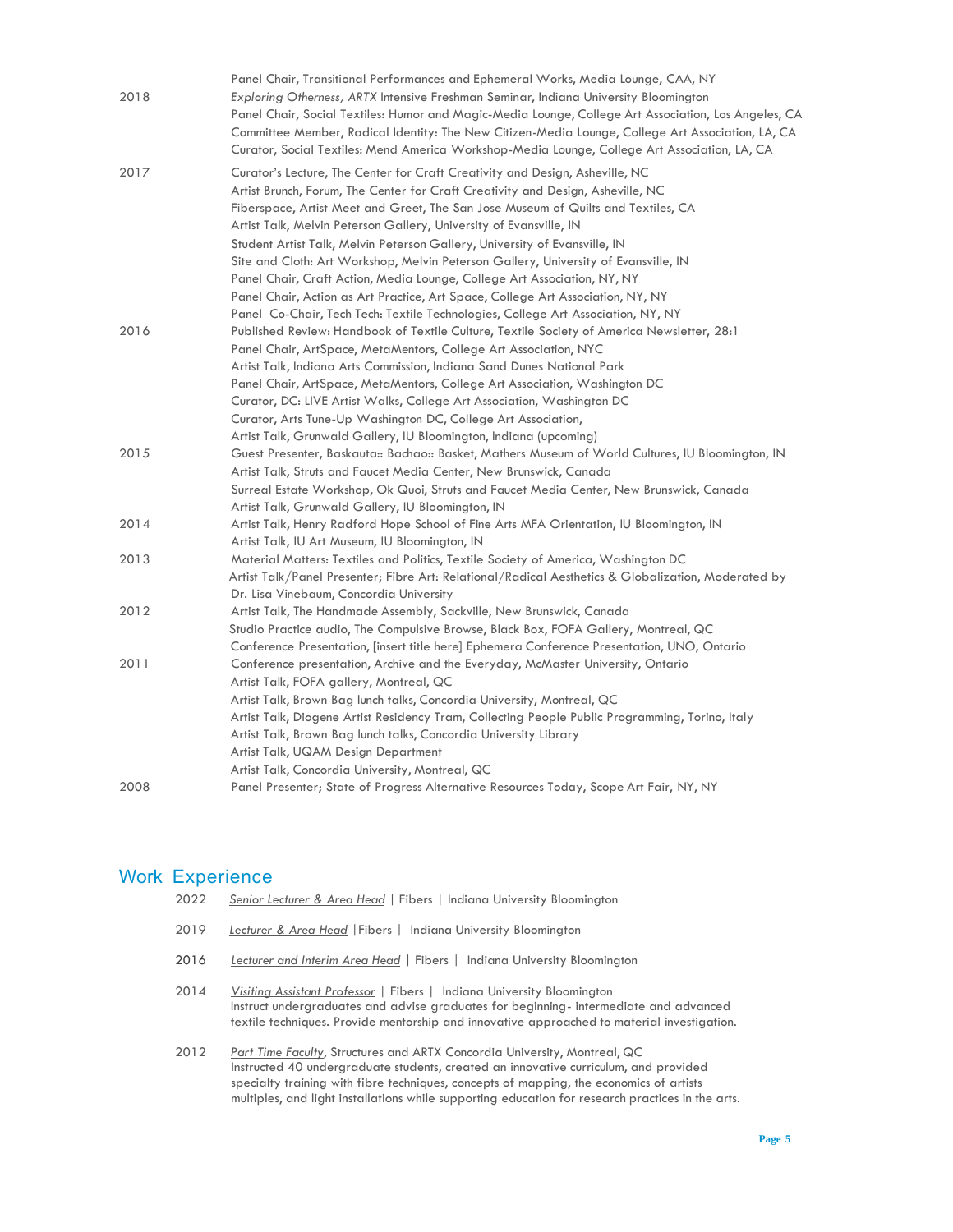|      | Panel Chair, Transitional Performances and Ephemeral Works, Media Lounge, CAA, NY                    |
|------|------------------------------------------------------------------------------------------------------|
| 2018 | Exploring Otherness, ARTX Intensive Freshman Seminar, Indiana University Bloomington                 |
|      | Panel Chair, Social Textiles: Humor and Magic-Media Lounge, College Art Association, Los Angeles, CA |
|      | Committee Member, Radical Identity: The New Citizen-Media Lounge, College Art Association, LA, CA    |
|      | Curator, Social Textiles: Mend America Workshop-Media Lounge, College Art Association, LA, CA        |
| 2017 | Curator's Lecture, The Center for Craft Creativity and Design, Asheville, NC                         |
|      | Artist Brunch, Forum, The Center for Craft Creativity and Design, Asheville, NC                      |
|      | Fiberspace, Artist Meet and Greet, The San Jose Museum of Quilts and Textiles, CA                    |
|      | Artist Talk, Melvin Peterson Gallery, University of Evansville, IN                                   |
|      | Student Artist Talk, Melvin Peterson Gallery, University of Evansville, IN                           |
|      | Site and Cloth: Art Workshop, Melvin Peterson Gallery, University of Evansville, IN                  |
|      | Panel Chair, Craft Action, Media Lounge, College Art Association, NY, NY                             |
|      | Panel Chair, Action as Art Practice, Art Space, College Art Association, NY, NY                      |
|      | Panel Co-Chair, Tech Tech: Textile Technologies, College Art Association, NY, NY                     |
| 2016 | Published Review: Handbook of Textile Culture, Textile Society of America Newsletter, 28:1           |
|      | Panel Chair, ArtSpace, MetaMentors, College Art Association, NYC                                     |
|      | Artist Talk, Indiana Arts Commission, Indiana Sand Dunes National Park                               |
|      | Panel Chair, ArtSpace, MetaMentors, College Art Association, Washington DC                           |
|      | Curator, DC: LIVE Artist Walks, College Art Association, Washington DC                               |
|      | Curator, Arts Tune-Up Washington DC, College Art Association,                                        |
|      | Artist Talk, Grunwald Gallery, IU Bloomington, Indiana (upcoming)                                    |
| 2015 | Guest Presenter, Baskauta:: Bachao:: Basket, Mathers Museum of World Cultures, IU Bloomington, IN    |
|      | Artist Talk, Struts and Faucet Media Center, New Brunswick, Canada                                   |
|      | Surreal Estate Workshop, Ok Quoi, Struts and Faucet Media Center, New Brunswick, Canada              |
|      | Artist Talk, Grunwald Gallery, IU Bloomington, IN                                                    |
| 2014 | Artist Talk, Henry Radford Hope School of Fine Arts MFA Orientation, IU Bloomington, IN              |
|      | Artist Talk, IU Art Museum, IU Bloomington, IN                                                       |
| 2013 | Material Matters: Textiles and Politics, Textile Society of America, Washington DC                   |
|      | Artist Talk/Panel Presenter; Fibre Art: Relational/Radical Aesthetics & Globalization, Moderated by  |
|      | Dr. Lisa Vinebaum, Concordia University                                                              |
| 2012 | Artist Talk, The Handmade Assembly, Sackville, New Brunswick, Canada                                 |
|      | Studio Practice audio, The Compulsive Browse, Black Box, FOFA Gallery, Montreal, QC                  |
|      | Conference Presentation, [insert title here] Ephemera Conference Presentation, UNO, Ontario          |
| 2011 | Conference presentation, Archive and the Everyday, McMaster University, Ontario                      |
|      | Artist Talk, FOFA gallery, Montreal, QC                                                              |
|      | Artist Talk, Brown Bag lunch talks, Concordia University, Montreal, QC                               |
|      | Artist Talk, Diogene Artist Residency Tram, Collecting People Public Programming, Torino, Italy      |
|      | Artist Talk, Brown Bag lunch talks, Concordia University Library                                     |
|      | Artist Talk, UQAM Design Department                                                                  |
|      | Artist Talk, Concordia University, Montreal, QC                                                      |
| 2008 | Panel Presenter; State of Progress Alternative Resources Today, Scope Art Fair, NY, NY               |

### Work Experience

| 2022 | Senior Lecturer & Area Head   Fibers   Indiana University Bloomington |  |  |
|------|-----------------------------------------------------------------------|--|--|
|      |                                                                       |  |  |

- 2019 *Lecturer & Area Head* |Fibers | Indiana University Bloomington
- 2016 *Lecturer and Interim Area Head |* Fibers | Indiana University Bloomington
- 2014 *Visiting Assistant Professor* | Fibers | Indiana University Bloomington Instruct undergraduates and advise graduates for beginning- intermediate and advanced textile techniques. Provide mentorship and innovative approached to material investigation.
- 2012 *Part Time Faculty*, Structures and ARTX Concordia University, Montreal, QC Instructed 40 undergraduate students, created an innovative curriculum, and provided specialty training with fibre techniques, concepts of mapping, the economics of artists multiples, and light installations while supporting education for research practices in the arts.